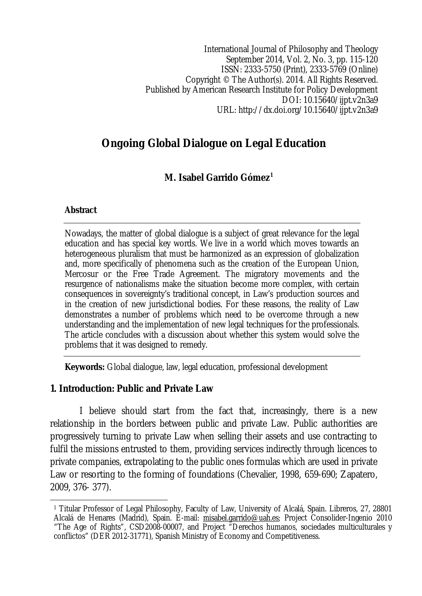International Journal of Philosophy and Theology September 2014, Vol. 2, No. 3, pp. 115-120 ISSN: 2333-5750 (Print), 2333-5769 (Online) Copyright © The Author(s). 2014. All Rights Reserved. Published by American Research Institute for Policy Development DOI: 10.15640/ijpt.v2n3a9 URL: http://dx.doi.org/10.15640/ijpt.v2n3a9

# **Ongoing Global Dialogue on Legal Education**

**M. Isabel Garrido Gómez<sup>1</sup>**

#### **Abstract**

Nowadays, the matter of global dialogue is a subject of great relevance for the legal education and has special key words. We live in a world which moves towards an heterogeneous pluralism that must be harmonized as an expression of globalization and, more specifically of phenomena such as the creation of the European Union, Mercosur or the Free Trade Agreement. The migratory movements and the resurgence of nationalisms make the situation become more complex, with certain consequences in sovereignty's traditional concept, in Law's production sources and in the creation of new jurisdictional bodies. For these reasons, the reality of Law demonstrates a number of problems which need to be overcome through a new understanding and the implementation of new legal techniques for the professionals. The article concludes with a discussion about whether this system would solve the problems that it was designed to remedy.

**Keywords:** Global dialogue, law, legal education, professional development

#### **1. Introduction: Public and Private Law**

I believe should start from the fact that, increasingly, there is a new relationship in the borders between public and private Law. Public authorities are progressively turning to private Law when selling their assets and use contracting to fulfil the missions entrusted to them, providing services indirectly through licences to private companies, extrapolating to the public ones formulas which are used in private Law or resorting to the forming of foundations (Chevalier, 1998, 659-690; Zapatero, 2009, 376- 377).

 $\overline{\phantom{a}}$ <sup>1</sup> Titular Professor of Legal Philosophy, Faculty of Law, University of Alcalá, Spain. Libreros, 27, 28801 Alcalá de Henares (Madrid), Spain. E-mail: misabel.garrido@uah.es; Project Consolider-Ingenio 2010 "The Age of Rights", CSD2008-00007, and Project "Derechos humanos, sociedades multiculturales y conflictos" (DER 2012-31771), Spanish Ministry of Economy and Competitiveness.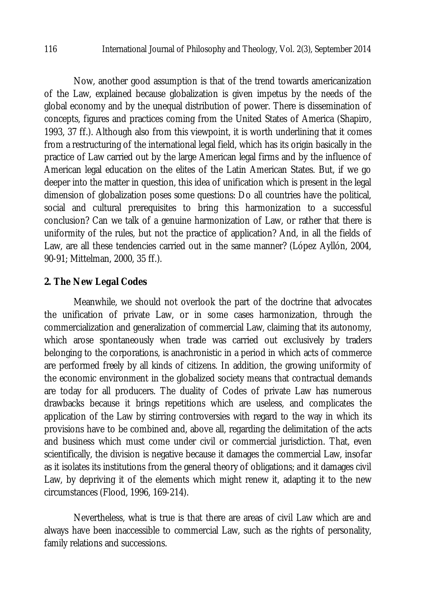Now, another good assumption is that of the trend towards americanization of the Law, explained because globalization is given impetus by the needs of the global economy and by the unequal distribution of power. There is dissemination of concepts, figures and practices coming from the United States of America (Shapiro, 1993, 37 ff.). Although also from this viewpoint, it is worth underlining that it comes from a restructuring of the international legal field, which has its origin basically in the practice of Law carried out by the large American legal firms and by the influence of American legal education on the elites of the Latin American States. But, if we go deeper into the matter in question, this idea of unification which is present in the legal dimension of globalization poses some questions: Do all countries have the political, social and cultural prerequisites to bring this harmonization to a successful conclusion? Can we talk of a genuine harmonization of Law, or rather that there is uniformity of the rules, but not the practice of application? And, in all the fields of Law, are all these tendencies carried out in the same manner? (López Ayllón, 2004, 90-91; Mittelman, 2000, 35 ff.).

## **2. The New Legal Codes**

Meanwhile, we should not overlook the part of the doctrine that advocates the unification of private Law, or in some cases harmonization, through the commercialization and generalization of commercial Law, claiming that its autonomy, which arose spontaneously when trade was carried out exclusively by traders belonging to the corporations, is anachronistic in a period in which acts of commerce are performed freely by all kinds of citizens. In addition, the growing uniformity of the economic environment in the globalized society means that contractual demands are today for all producers. The duality of Codes of private Law has numerous drawbacks because it brings repetitions which are useless, and complicates the application of the Law by stirring controversies with regard to the way in which its provisions have to be combined and, above all, regarding the delimitation of the acts and business which must come under civil or commercial jurisdiction. That, even scientifically, the division is negative because it damages the commercial Law, insofar as it isolates its institutions from the general theory of obligations; and it damages civil Law, by depriving it of the elements which might renew it, adapting it to the new circumstances (Flood, 1996, 169-214).

Nevertheless, what is true is that there are areas of civil Law which are and always have been inaccessible to commercial Law, such as the rights of personality, family relations and successions.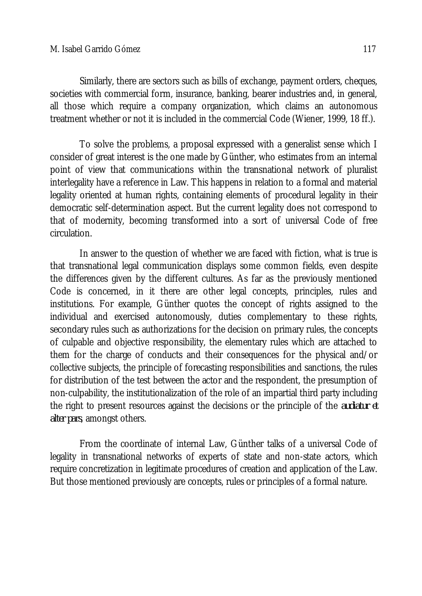Similarly, there are sectors such as bills of exchange, payment orders, cheques, societies with commercial form, insurance, banking, bearer industries and, in general, all those which require a company organization, which claims an autonomous treatment whether or not it is included in the commercial Code (Wiener, 1999, 18 ff.).

To solve the problems, a proposal expressed with a generalist sense which I consider of great interest is the one made by Günther, who estimates from an internal point of view that communications within the transnational network of pluralist interlegality have a reference in Law. This happens in relation to a formal and material legality oriented at human rights, containing elements of procedural legality in their democratic self-determination aspect. But the current legality does not correspond to that of modernity, becoming transformed into a sort of universal Code of free circulation.

In answer to the question of whether we are faced with fiction, what is true is that transnational legal communication displays some common fields, even despite the differences given by the different cultures. As far as the previously mentioned Code is concerned, in it there are other legal concepts, principles, rules and institutions. For example, Günther quotes the concept of rights assigned to the individual and exercised autonomously, duties complementary to these rights, secondary rules such as authorizations for the decision on primary rules, the concepts of culpable and objective responsibility, the elementary rules which are attached to them for the charge of conducts and their consequences for the physical and/or collective subjects, the principle of forecasting responsibilities and sanctions, the rules for distribution of the test between the actor and the respondent, the presumption of non-culpability, the institutionalization of the role of an impartial third party including the right to present resources against the decisions or the principle of the *audiatur et alter pars*, amongst others.

From the coordinate of internal Law, Günther talks of a universal Code of legality in transnational networks of experts of state and non-state actors, which require concretization in legitimate procedures of creation and application of the Law. But those mentioned previously are concepts, rules or principles of a formal nature.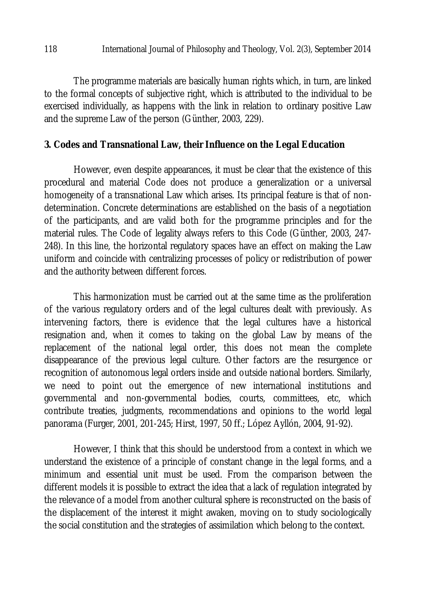The programme materials are basically human rights which, in turn, are linked to the formal concepts of subjective right, which is attributed to the individual to be exercised individually, as happens with the link in relation to ordinary positive Law and the supreme Law of the person (Günther, 2003, 229).

#### **3. Codes and Transnational Law, their Influence on the Legal Education**

However, even despite appearances, it must be clear that the existence of this procedural and material Code does not produce a generalization or a universal homogeneity of a transnational Law which arises. Its principal feature is that of nondetermination. Concrete determinations are established on the basis of a negotiation of the participants, and are valid both for the programme principles and for the material rules. The Code of legality always refers to this Code (Günther, 2003, 247- 248). In this line, the horizontal regulatory spaces have an effect on making the Law uniform and coincide with centralizing processes of policy or redistribution of power and the authority between different forces.

This harmonization must be carried out at the same time as the proliferation of the various regulatory orders and of the legal cultures dealt with previously. As intervening factors, there is evidence that the legal cultures have a historical resignation and, when it comes to taking on the global Law by means of the replacement of the national legal order, this does not mean the complete disappearance of the previous legal culture. Other factors are the resurgence or recognition of autonomous legal orders inside and outside national borders. Similarly, we need to point out the emergence of new international institutions and governmental and non-governmental bodies, courts, committees, etc, which contribute treaties, judgments, recommendations and opinions to the world legal panorama (Furger, 2001, 201-245; Hirst, 1997, 50 ff.; López Ayllón, 2004, 91-92).

However, I think that this should be understood from a context in which we understand the existence of a principle of constant change in the legal forms, and a minimum and essential unit must be used. From the comparison between the different models it is possible to extract the idea that a lack of regulation integrated by the relevance of a model from another cultural sphere is reconstructed on the basis of the displacement of the interest it might awaken, moving on to study sociologically the social constitution and the strategies of assimilation which belong to the context.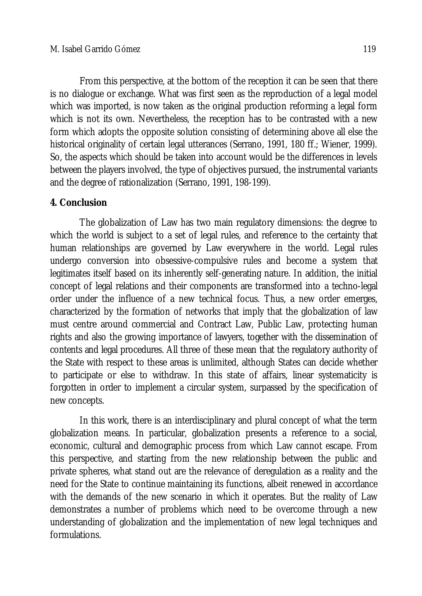From this perspective, at the bottom of the reception it can be seen that there is no dialogue or exchange. What was first seen as the reproduction of a legal model which was imported, is now taken as the original production reforming a legal form which is not its own. Nevertheless, the reception has to be contrasted with a new form which adopts the opposite solution consisting of determining above all else the historical originality of certain legal utterances (Serrano, 1991, 180 ff.; Wiener, 1999). So, the aspects which should be taken into account would be the differences in levels between the players involved, the type of objectives pursued, the instrumental variants and the degree of rationalization (Serrano, 1991, 198-199).

## **4. Conclusion**

The globalization of Law has two main regulatory dimensions: the degree to which the world is subject to a set of legal rules, and reference to the certainty that human relationships are governed by Law everywhere in the world. Legal rules undergo conversion into obsessive-compulsive rules and become a system that legitimates itself based on its inherently self-generating nature. In addition, the initial concept of legal relations and their components are transformed into a techno-legal order under the influence of a new technical focus. Thus, a new order emerges, characterized by the formation of networks that imply that the globalization of law must centre around commercial and Contract Law, Public Law, protecting human rights and also the growing importance of lawyers, together with the dissemination of contents and legal procedures. All three of these mean that the regulatory authority of the State with respect to these areas is unlimited, although States can decide whether to participate or else to withdraw. In this state of affairs, linear systematicity is forgotten in order to implement a circular system, surpassed by the specification of new concepts.

In this work, there is an interdisciplinary and plural concept of what the term globalization means. In particular, globalization presents a reference to a social, economic, cultural and demographic process from which Law cannot escape. From this perspective, and starting from the new relationship between the public and private spheres, what stand out are the relevance of deregulation as a reality and the need for the State to continue maintaining its functions, albeit renewed in accordance with the demands of the new scenario in which it operates. But the reality of Law demonstrates a number of problems which need to be overcome through a new understanding of globalization and the implementation of new legal techniques and formulations.